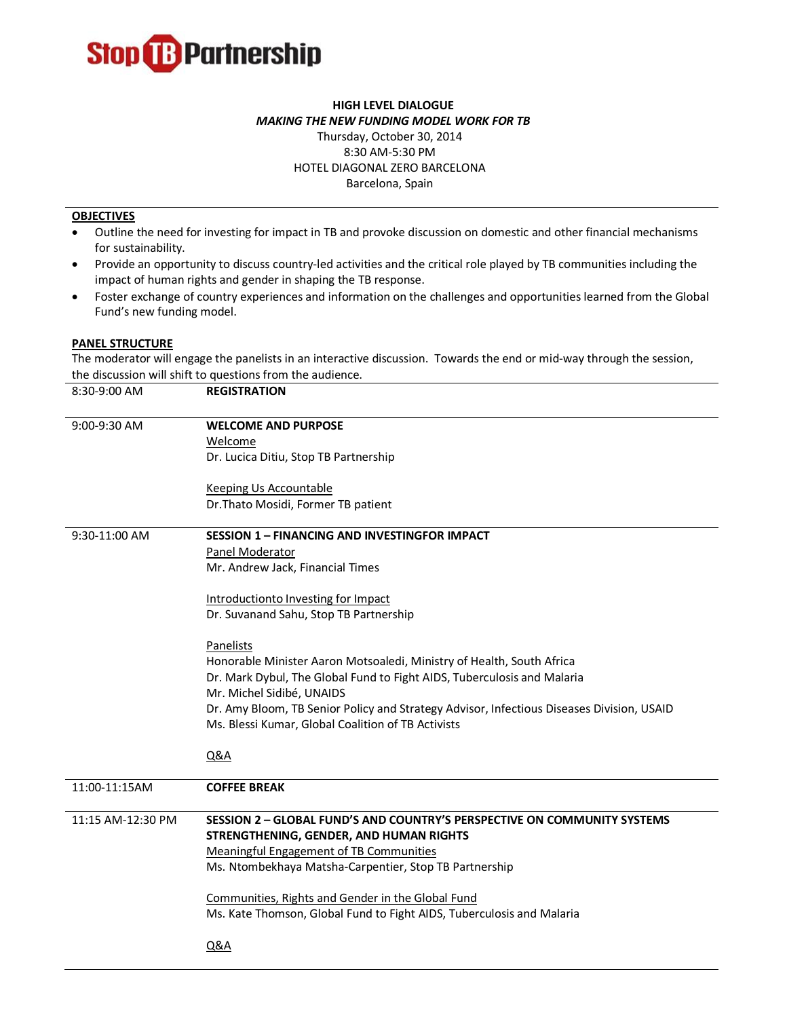

## **HIGH LEVEL DIALOGUE** *MAKING THE NEW FUNDING MODEL WORK FOR TB*

## Thursday, October 30, 2014 8:30 AM-5:30 PM HOTEL DIAGONAL ZERO BARCELONA Barcelona, Spain

## **OBJECTIVES**

- Outline the need for investing for impact in TB and provoke discussion on domestic and other financial mechanisms for sustainability.
- Provide an opportunity to discuss country-led activities and the critical role played by TB communities including the impact of human rights and gender in shaping the TB response.
- Foster exchange of country experiences and information on the challenges and opportunities learned from the Global Fund's new funding model.

## **PANEL STRUCTURE**

The moderator will engage the panelists in an interactive discussion. Towards the end or mid-way through the session, the discussion will shift to questions from the audience.

| 8:30-9:00 AM      | <b>REGISTRATION</b>                                                                       |
|-------------------|-------------------------------------------------------------------------------------------|
| 9:00-9:30 AM      | <b>WELCOME AND PURPOSE</b>                                                                |
|                   | Welcome                                                                                   |
|                   | Dr. Lucica Ditiu, Stop TB Partnership                                                     |
|                   | <b>Keeping Us Accountable</b>                                                             |
|                   | Dr. Thato Mosidi, Former TB patient                                                       |
| 9:30-11:00 AM     | <b>SESSION 1 - FINANCING AND INVESTINGFOR IMPACT</b>                                      |
|                   | Panel Moderator                                                                           |
|                   | Mr. Andrew Jack, Financial Times                                                          |
|                   | Introductionto Investing for Impact                                                       |
|                   | Dr. Suvanand Sahu, Stop TB Partnership                                                    |
|                   | Panelists                                                                                 |
|                   | Honorable Minister Aaron Motsoaledi, Ministry of Health, South Africa                     |
|                   | Dr. Mark Dybul, The Global Fund to Fight AIDS, Tuberculosis and Malaria                   |
|                   | Mr. Michel Sidibé, UNAIDS                                                                 |
|                   | Dr. Amy Bloom, TB Senior Policy and Strategy Advisor, Infectious Diseases Division, USAID |
|                   | Ms. Blessi Kumar, Global Coalition of TB Activists                                        |
|                   | Q&A                                                                                       |
| 11:00-11:15AM     | <b>COFFEE BREAK</b>                                                                       |
| 11:15 AM-12:30 PM | SESSION 2 - GLOBAL FUND'S AND COUNTRY'S PERSPECTIVE ON COMMUNITY SYSTEMS                  |
|                   | STRENGTHENING, GENDER, AND HUMAN RIGHTS                                                   |
|                   | Meaningful Engagement of TB Communities                                                   |
|                   | Ms. Ntombekhaya Matsha-Carpentier, Stop TB Partnership                                    |
|                   | Communities, Rights and Gender in the Global Fund                                         |
|                   | Ms. Kate Thomson, Global Fund to Fight AIDS, Tuberculosis and Malaria                     |
|                   | <b>Q&amp;A</b>                                                                            |